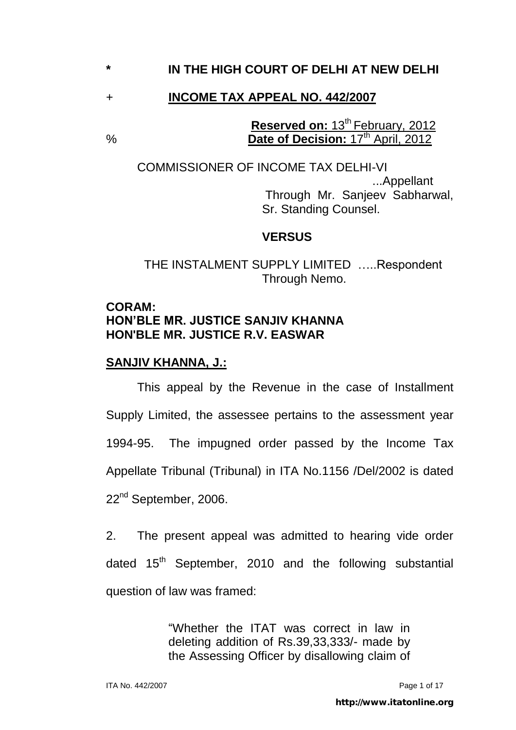## **\* IN THE HIGH COURT OF DELHI AT NEW DELHI**

### + **INCOME TAX APPEAL NO. 442/2007**

**Reserved on: 13<sup>th</sup> February, 2012** % **Date of Decision:** 17th April, 2012

 COMMISSIONER OF INCOME TAX DELHI-VI ...Appellant Through Mr. Sanjeev Sabharwal, Sr. Standing Counsel.

#### **VERSUS**

 THE INSTALMENT SUPPLY LIMITED …..Respondent Through Nemo.

#### **CORAM: HON'BLE MR. JUSTICE SANJIV KHANNA HON'BLE MR. JUSTICE R.V. EASWAR**

### **SANJIV KHANNA, J.:**

 This appeal by the Revenue in the case of Installment Supply Limited, the assessee pertains to the assessment year 1994-95. The impugned order passed by the Income Tax Appellate Tribunal (Tribunal) in ITA No.1156 /Del/2002 is dated 22<sup>nd</sup> September, 2006.

2. The present appeal was admitted to hearing vide order dated  $15<sup>th</sup>$  September, 2010 and the following substantial question of law was framed:

> "Whether the ITAT was correct in law in deleting addition of Rs.39,33,333/- made by the Assessing Officer by disallowing claim of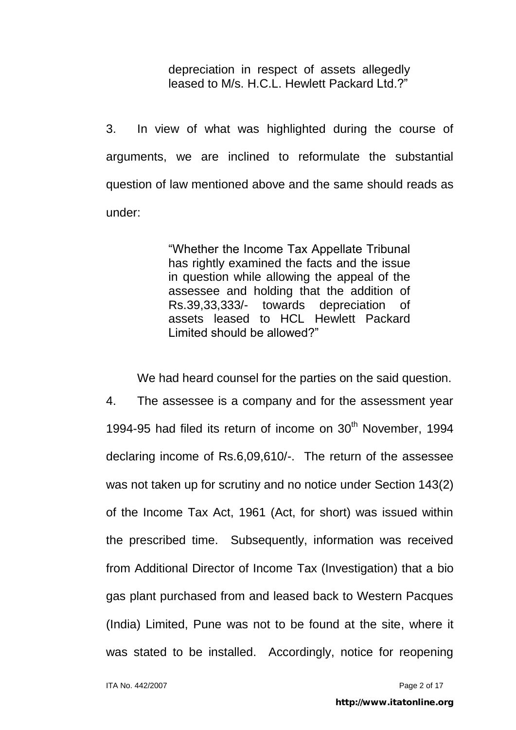depreciation in respect of assets allegedly leased to M/s. H.C.L. Hewlett Packard Ltd.?"

3. In view of what was highlighted during the course of arguments, we are inclined to reformulate the substantial question of law mentioned above and the same should reads as under:

> "Whether the Income Tax Appellate Tribunal has rightly examined the facts and the issue in question while allowing the appeal of the assessee and holding that the addition of Rs.39,33,333/- towards depreciation of assets leased to HCL Hewlett Packard Limited should be allowed?"

We had heard counsel for the parties on the said question.

4. The assessee is a company and for the assessment year 1994-95 had filed its return of income on 30<sup>th</sup> November, 1994 declaring income of Rs.6,09,610/-. The return of the assessee was not taken up for scrutiny and no notice under Section 143(2) of the Income Tax Act, 1961 (Act, for short) was issued within the prescribed time. Subsequently, information was received from Additional Director of Income Tax (Investigation) that a bio gas plant purchased from and leased back to Western Pacques (India) Limited, Pune was not to be found at the site, where it was stated to be installed. Accordingly, notice for reopening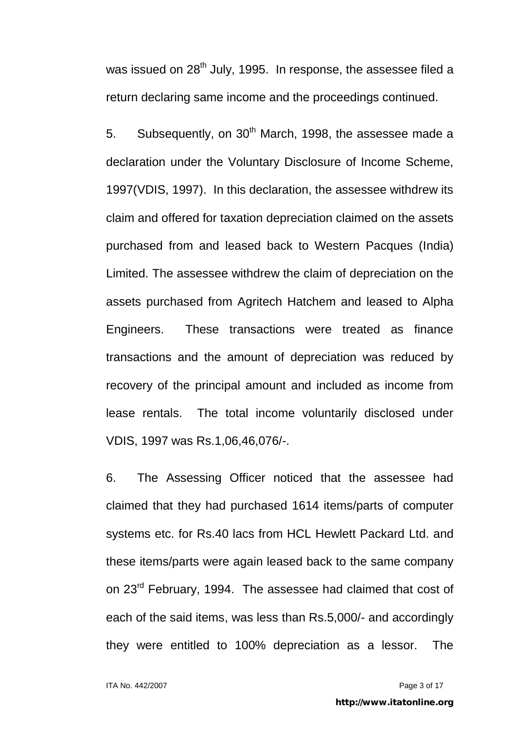was issued on  $28<sup>th</sup>$  July, 1995. In response, the assessee filed a return declaring same income and the proceedings continued.

5. Subsequently, on  $30<sup>th</sup>$  March, 1998, the assessee made a declaration under the Voluntary Disclosure of Income Scheme, 1997(VDIS, 1997). In this declaration, the assessee withdrew its claim and offered for taxation depreciation claimed on the assets purchased from and leased back to Western Pacques (India) Limited. The assessee withdrew the claim of depreciation on the assets purchased from Agritech Hatchem and leased to Alpha Engineers. These transactions were treated as finance transactions and the amount of depreciation was reduced by recovery of the principal amount and included as income from lease rentals. The total income voluntarily disclosed under VDIS, 1997 was Rs.1,06,46,076/-.

6. The Assessing Officer noticed that the assessee had claimed that they had purchased 1614 items/parts of computer systems etc. for Rs.40 lacs from HCL Hewlett Packard Ltd. and these items/parts were again leased back to the same company on 23<sup>rd</sup> February, 1994. The assessee had claimed that cost of each of the said items, was less than Rs.5,000/- and accordingly they were entitled to 100% depreciation as a lessor. The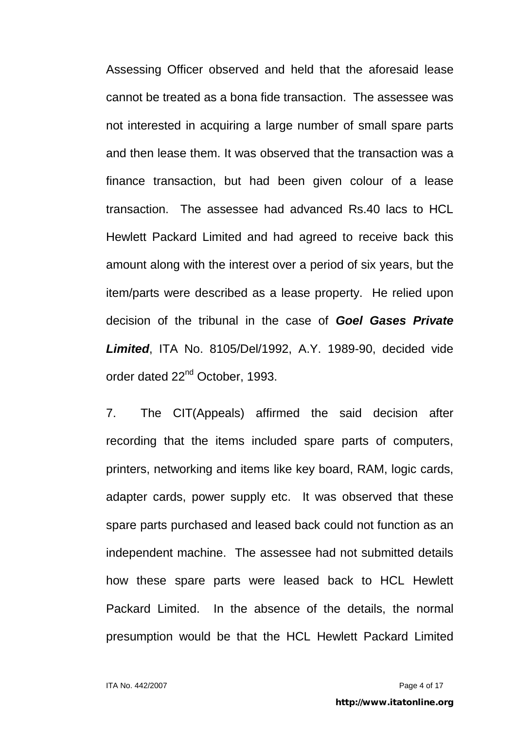Assessing Officer observed and held that the aforesaid lease cannot be treated as a bona fide transaction. The assessee was not interested in acquiring a large number of small spare parts and then lease them. It was observed that the transaction was a finance transaction, but had been given colour of a lease transaction. The assessee had advanced Rs.40 lacs to HCL Hewlett Packard Limited and had agreed to receive back this amount along with the interest over a period of six years, but the item/parts were described as a lease property. He relied upon decision of the tribunal in the case of *Goel Gases Private Limited*, ITA No. 8105/Del/1992, A.Y. 1989-90, decided vide order dated 22nd October, 1993.

7. The CIT(Appeals) affirmed the said decision after recording that the items included spare parts of computers, printers, networking and items like key board, RAM, logic cards, adapter cards, power supply etc. It was observed that these spare parts purchased and leased back could not function as an independent machine. The assessee had not submitted details how these spare parts were leased back to HCL Hewlett Packard Limited. In the absence of the details, the normal presumption would be that the HCL Hewlett Packard Limited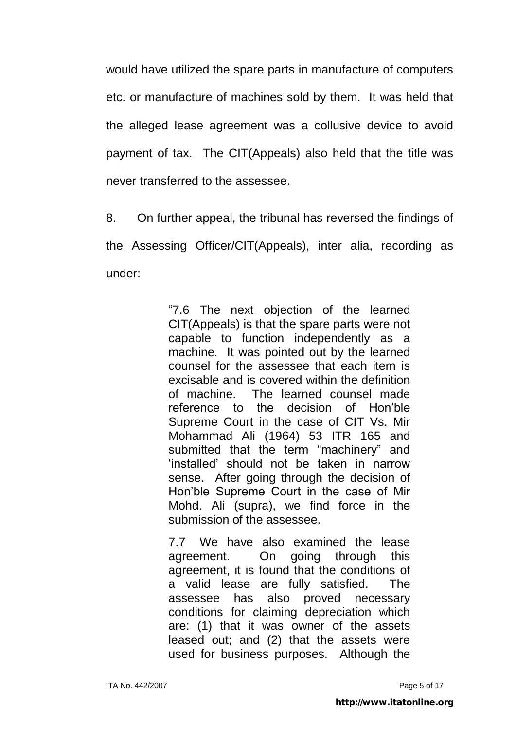would have utilized the spare parts in manufacture of computers etc. or manufacture of machines sold by them. It was held that the alleged lease agreement was a collusive device to avoid payment of tax. The CIT(Appeals) also held that the title was never transferred to the assessee.

8. On further appeal, the tribunal has reversed the findings of the Assessing Officer/CIT(Appeals), inter alia, recording as under:

> "7.6 The next objection of the learned CIT(Appeals) is that the spare parts were not capable to function independently as a machine. It was pointed out by the learned counsel for the assessee that each item is excisable and is covered within the definition of machine. The learned counsel made reference to the decision of Hon"ble Supreme Court in the case of CIT Vs. Mir Mohammad Ali (1964) 53 ITR 165 and submitted that the term "machinery" and "installed" should not be taken in narrow sense. After going through the decision of Hon"ble Supreme Court in the case of Mir Mohd. Ali (supra), we find force in the submission of the assessee.

> 7.7 We have also examined the lease agreement. On going through this agreement, it is found that the conditions of a valid lease are fully satisfied. The assessee has also proved necessary conditions for claiming depreciation which are: (1) that it was owner of the assets leased out; and (2) that the assets were used for business purposes. Although the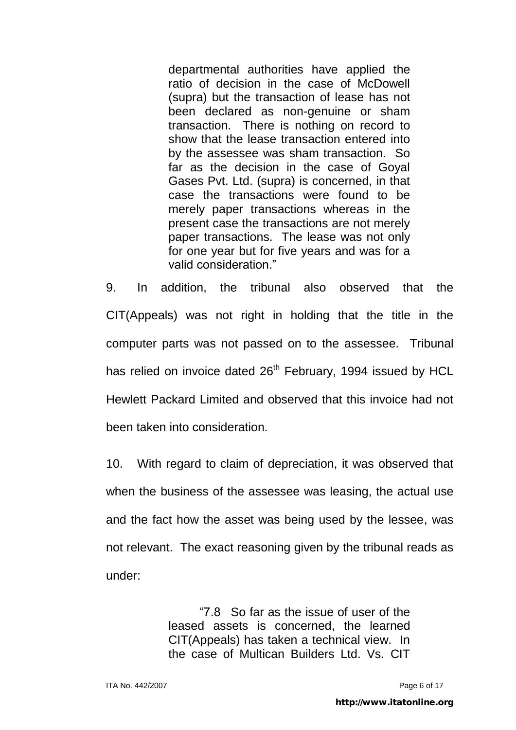departmental authorities have applied the ratio of decision in the case of McDowell (supra) but the transaction of lease has not been declared as non-genuine or sham transaction. There is nothing on record to show that the lease transaction entered into by the assessee was sham transaction. So far as the decision in the case of Goyal Gases Pvt. Ltd. (supra) is concerned, in that case the transactions were found to be merely paper transactions whereas in the present case the transactions are not merely paper transactions. The lease was not only for one year but for five years and was for a valid consideration."

9. In addition, the tribunal also observed that the CIT(Appeals) was not right in holding that the title in the computer parts was not passed on to the assessee. Tribunal has relied on invoice dated 26<sup>th</sup> February, 1994 issued by HCL Hewlett Packard Limited and observed that this invoice had not been taken into consideration.

10. With regard to claim of depreciation, it was observed that when the business of the assessee was leasing, the actual use and the fact how the asset was being used by the lessee, was not relevant. The exact reasoning given by the tribunal reads as under:

> "7.8 So far as the issue of user of the leased assets is concerned, the learned CIT(Appeals) has taken a technical view. In the case of Multican Builders Ltd. Vs. CIT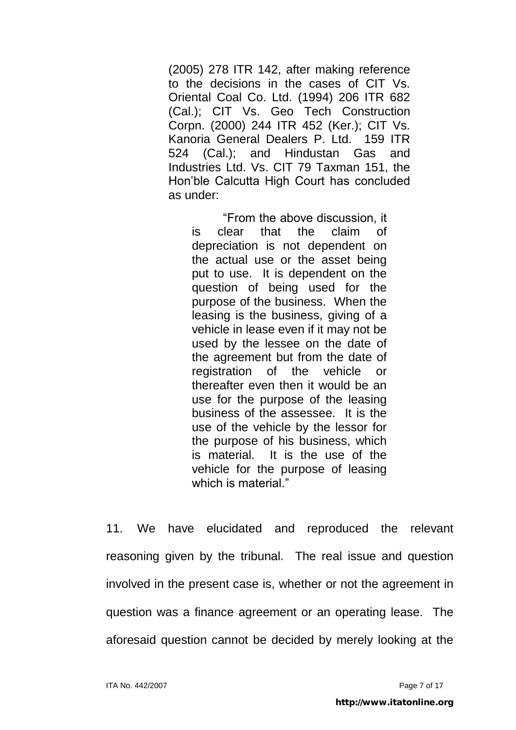(2005) 278 ITR 142, after making reference to the decisions in the cases of CIT Vs. Oriental Coal Co. Ltd. (1994) 206 ITR 682 (Cal.); CIT Vs. Geo Tech Construction Corpn. (2000) 244 ITR 452 (Ker.); CIT Vs. Kanoria General Dealers P. Ltd. 159 ITR 524 (Cal.); and Hindustan Gas and Industries Ltd. Vs. CIT 79 Taxman 151, the Hon"ble Calcutta High Court has concluded as under:

"From the above discussion, it is clear that the claim of depreciation is not dependent on the actual use or the asset being put to use. It is dependent on the question of being used for the purpose of the business. When the leasing is the business, giving of a vehicle in lease even if it may not be used by the lessee on the date of the agreement but from the date of registration of the vehicle or thereafter even then it would be an use for the purpose of the leasing business of the assessee. It is the use of the vehicle by the lessor for the purpose of his business, which is material. It is the use of the vehicle for the purpose of leasing which is material."

11. We have elucidated and reproduced the relevant reasoning given by the tribunal. The real issue and question involved in the present case is, whether or not the agreement in question was a finance agreement or an operating lease. The aforesaid question cannot be decided by merely looking at the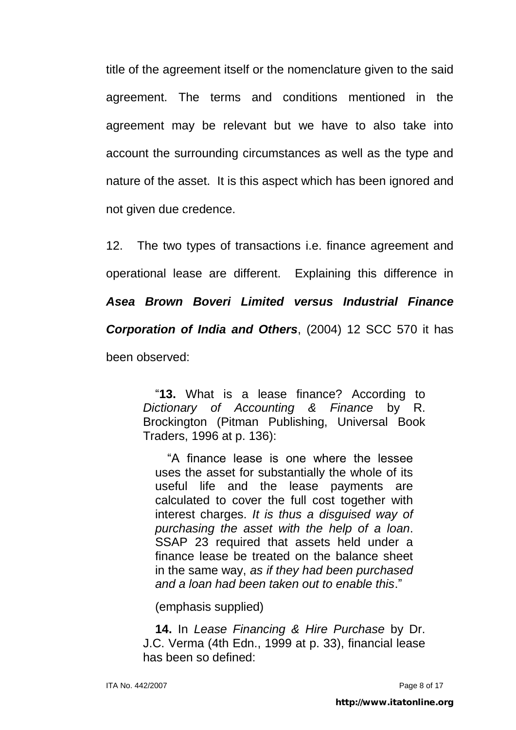title of the agreement itself or the nomenclature given to the said agreement. The terms and conditions mentioned in the agreement may be relevant but we have to also take into account the surrounding circumstances as well as the type and nature of the asset. It is this aspect which has been ignored and not given due credence.

12. The two types of transactions i.e. finance agreement and operational lease are different. Explaining this difference in *Asea Brown Boveri Limited versus Industrial Finance Corporation of India and Others*, (2004) 12 SCC 570 it has been observed:

> "**13.** What is a lease finance? According to *Dictionary of Accounting & Finance* by R. Brockington (Pitman Publishing, Universal Book Traders, 1996 at p. 136):

"A finance lease is one where the lessee uses the asset for substantially the whole of its useful life and the lease payments are calculated to cover the full cost together with interest charges. *It is thus a disguised way of purchasing the asset with the help of a loan*. SSAP 23 required that assets held under a finance lease be treated on the balance sheet in the same way, *as if they had been purchased and a loan had been taken out to enable this*."

(emphasis supplied)

**14.** In *Lease Financing & Hire Purchase* by Dr. J.C. Verma (4th Edn., 1999 at p. 33), financial lease has been so defined: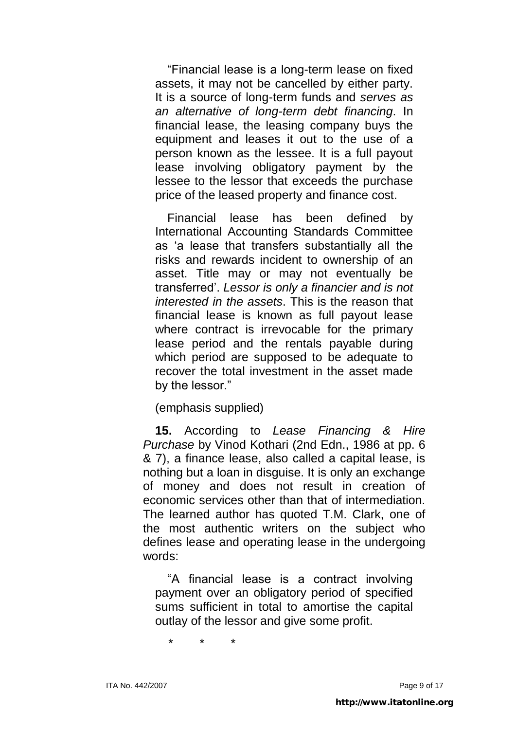"Financial lease is a long-term lease on fixed assets, it may not be cancelled by either party. It is a source of long-term funds and *serves as an alternative of long-term debt financing*. In financial lease, the leasing company buys the equipment and leases it out to the use of a person known as the lessee. It is a full payout lease involving obligatory payment by the lessee to the lessor that exceeds the purchase price of the leased property and finance cost.

Financial lease has been defined by International Accounting Standards Committee as "a lease that transfers substantially all the risks and rewards incident to ownership of an asset. Title may or may not eventually be transferred". *Lessor is only a financier and is not interested in the assets*. This is the reason that financial lease is known as full payout lease where contract is irrevocable for the primary lease period and the rentals payable during which period are supposed to be adequate to recover the total investment in the asset made by the lessor."

(emphasis supplied)

**15.** According to *Lease Financing & Hire Purchase* by Vinod Kothari (2nd Edn., 1986 at pp. 6 & 7), a finance lease, also called a capital lease, is nothing but a loan in disguise. It is only an exchange of money and does not result in creation of economic services other than that of intermediation. The learned author has quoted T.M. Clark, one of the most authentic writers on the subject who defines lease and operating lease in the undergoing words:

"A financial lease is a contract involving payment over an obligatory period of specified sums sufficient in total to amortise the capital outlay of the lessor and give some profit.

\* \* \*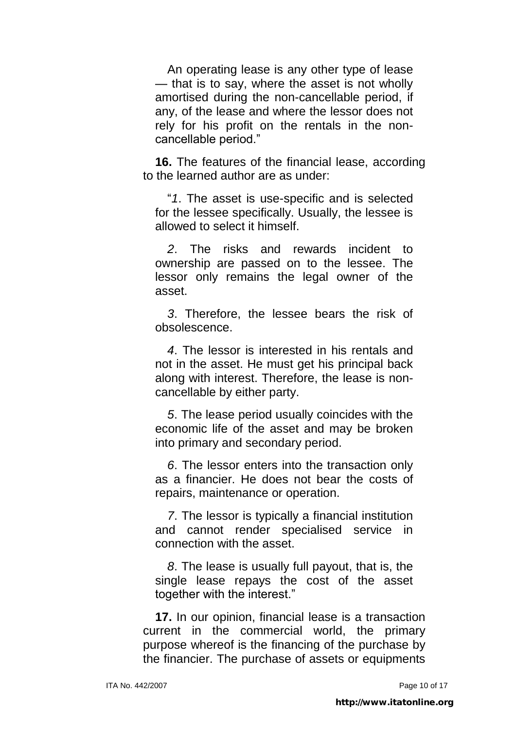An operating lease is any other type of lease — that is to say, where the asset is not wholly amortised during the non-cancellable period, if any, of the lease and where the lessor does not rely for his profit on the rentals in the noncancellable period."

**16.** The features of the financial lease, according to the learned author are as under:

"*1*. The asset is use-specific and is selected for the lessee specifically. Usually, the lessee is allowed to select it himself.

*2*. The risks and rewards incident to ownership are passed on to the lessee. The lessor only remains the legal owner of the asset.

*3*. Therefore, the lessee bears the risk of obsolescence.

*4*. The lessor is interested in his rentals and not in the asset. He must get his principal back along with interest. Therefore, the lease is noncancellable by either party.

*5*. The lease period usually coincides with the economic life of the asset and may be broken into primary and secondary period.

*6*. The lessor enters into the transaction only as a financier. He does not bear the costs of repairs, maintenance or operation.

*7*. The lessor is typically a financial institution and cannot render specialised service in connection with the asset.

*8*. The lease is usually full payout, that is, the single lease repays the cost of the asset together with the interest."

**17.** In our opinion, financial lease is a transaction current in the commercial world, the primary purpose whereof is the financing of the purchase by the financier. The purchase of assets or equipments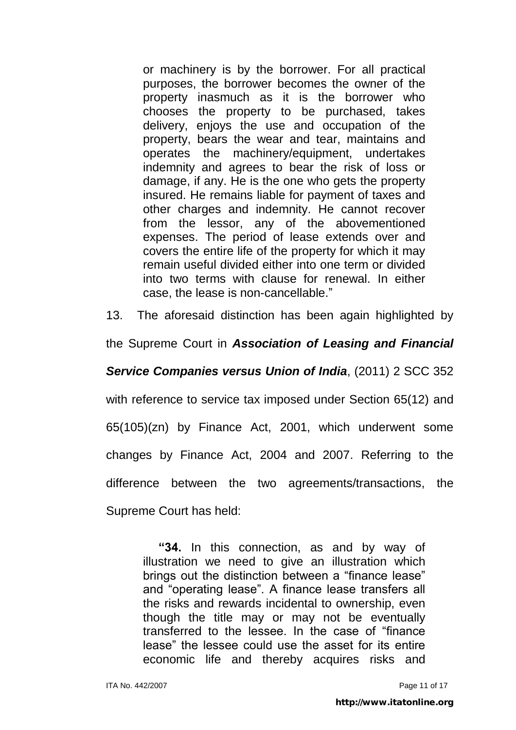or machinery is by the borrower. For all practical purposes, the borrower becomes the owner of the property inasmuch as it is the borrower who chooses the property to be purchased, takes delivery, enjoys the use and occupation of the property, bears the wear and tear, maintains and operates the machinery/equipment, undertakes indemnity and agrees to bear the risk of loss or damage, if any. He is the one who gets the property insured. He remains liable for payment of taxes and other charges and indemnity. He cannot recover from the lessor, any of the abovementioned expenses. The period of lease extends over and covers the entire life of the property for which it may remain useful divided either into one term or divided into two terms with clause for renewal. In either case, the lease is non-cancellable."

13. The aforesaid distinction has been again highlighted by

the Supreme Court in *Association of Leasing and Financial*

*Service Companies versus Union of India*, (2011) 2 SCC 352

with reference to service tax imposed under Section 65(12) and 65(105)(zn) by Finance Act, 2001, which underwent some changes by Finance Act, 2004 and 2007. Referring to the difference between the two agreements/transactions, the Supreme Court has held:

> **"34.** In this connection, as and by way of illustration we need to give an illustration which brings out the distinction between a "finance lease" and "operating lease". A finance lease transfers all the risks and rewards incidental to ownership, even though the title may or may not be eventually transferred to the lessee. In the case of "finance lease" the lessee could use the asset for its entire economic life and thereby acquires risks and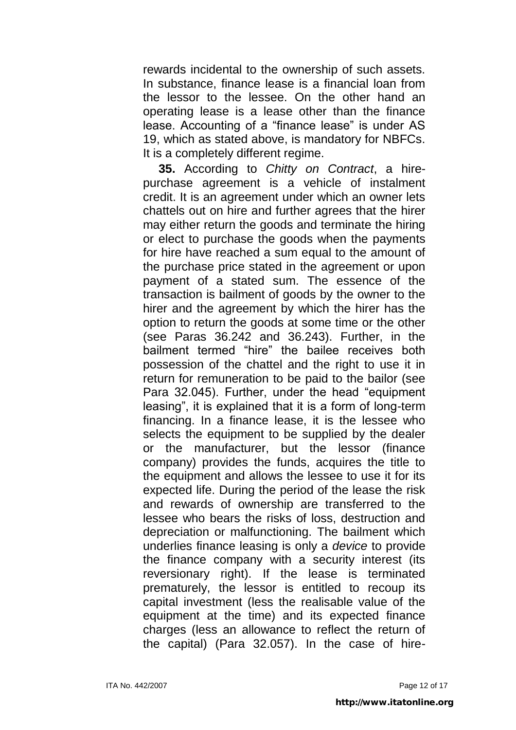rewards incidental to the ownership of such assets. In substance, finance lease is a financial loan from the lessor to the lessee. On the other hand an operating lease is a lease other than the finance lease. Accounting of a "finance lease" is under AS 19, which as stated above, is mandatory for NBFCs. It is a completely different regime.

**35.** According to *Chitty on Contract*, a hirepurchase agreement is a vehicle of instalment credit. It is an agreement under which an owner lets chattels out on hire and further agrees that the hirer may either return the goods and terminate the hiring or elect to purchase the goods when the payments for hire have reached a sum equal to the amount of the purchase price stated in the agreement or upon payment of a stated sum. The essence of the transaction is bailment of goods by the owner to the hirer and the agreement by which the hirer has the option to return the goods at some time or the other (see Paras 36.242 and 36.243). Further, in the bailment termed "hire" the bailee receives both possession of the chattel and the right to use it in return for remuneration to be paid to the bailor (see Para 32.045). Further, under the head "equipment leasing", it is explained that it is a form of long-term financing. In a finance lease, it is the lessee who selects the equipment to be supplied by the dealer or the manufacturer, but the lessor (finance company) provides the funds, acquires the title to the equipment and allows the lessee to use it for its expected life. During the period of the lease the risk and rewards of ownership are transferred to the lessee who bears the risks of loss, destruction and depreciation or malfunctioning. The bailment which underlies finance leasing is only a *device* to provide the finance company with a security interest (its reversionary right). If the lease is terminated prematurely, the lessor is entitled to recoup its capital investment (less the realisable value of the equipment at the time) and its expected finance charges (less an allowance to reflect the return of the capital) (Para 32.057). In the case of hire-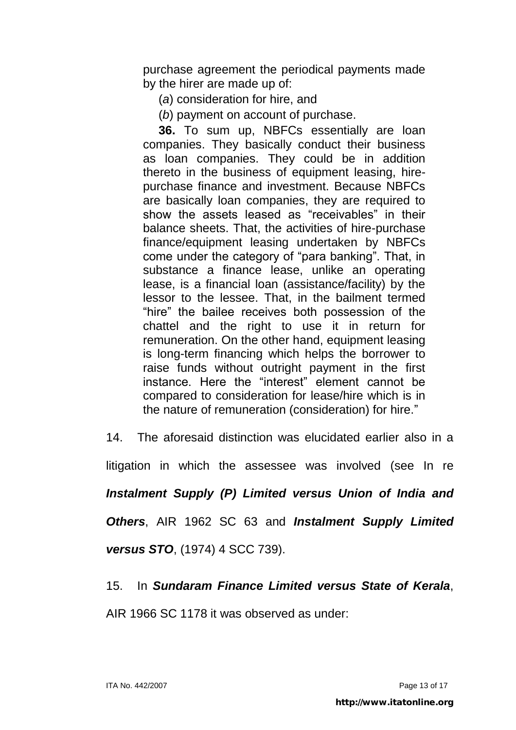purchase agreement the periodical payments made by the hirer are made up of:

(*a*) consideration for hire, and

(*b*) payment on account of purchase.

**36.** To sum up, NBFCs essentially are loan companies. They basically conduct their business as loan companies. They could be in addition thereto in the business of equipment leasing, hirepurchase finance and investment. Because NBFCs are basically loan companies, they are required to show the assets leased as "receivables" in their balance sheets. That, the activities of hire-purchase finance/equipment leasing undertaken by NBFCs come under the category of "para banking". That, in substance a finance lease, unlike an operating lease, is a financial loan (assistance/facility) by the lessor to the lessee. That, in the bailment termed "hire" the bailee receives both possession of the chattel and the right to use it in return for remuneration. On the other hand, equipment leasing is long-term financing which helps the borrower to raise funds without outright payment in the first instance. Here the "interest" element cannot be compared to consideration for lease/hire which is in the nature of remuneration (consideration) for hire."

14. The aforesaid distinction was elucidated earlier also in a litigation in which the assessee was involved (see In re *Instalment Supply (P) Limited versus Union of India and* 

*Others*, AIR 1962 SC 63 and *Instalment Supply Limited versus STO*, (1974) 4 SCC 739).

15. In *Sundaram Finance Limited versus State of Kerala*,

AIR 1966 SC 1178 it was observed as under: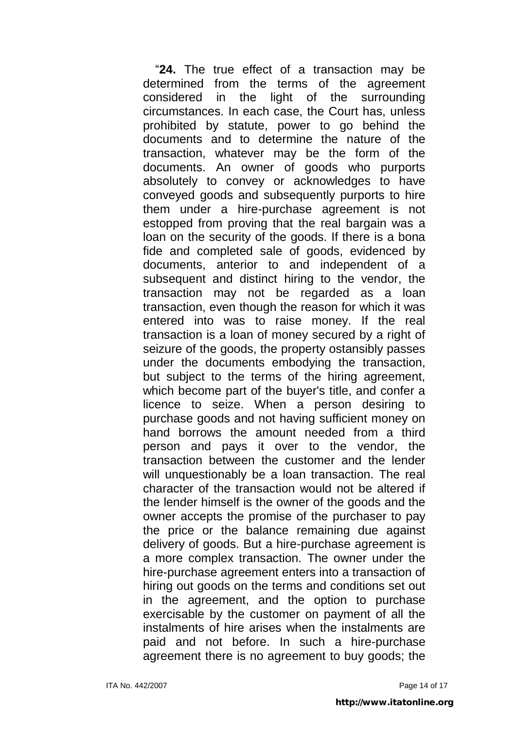"**24.** The true effect of a transaction may be determined from the terms of the agreement considered in the light of the surrounding circumstances. In each case, the Court has, unless prohibited by statute, power to go behind the documents and to determine the nature of the transaction, whatever may be the form of the documents. An owner of goods who purports absolutely to convey or acknowledges to have conveyed goods and subsequently purports to hire them under a hire-purchase agreement is not estopped from proving that the real bargain was a loan on the security of the goods. If there is a bona fide and completed sale of goods, evidenced by documents, anterior to and independent of a subsequent and distinct hiring to the vendor, the transaction may not be regarded as a loan transaction, even though the reason for which it was entered into was to raise money. If the real transaction is a loan of money secured by a right of seizure of the goods, the property ostansibly passes under the documents embodying the transaction, but subject to the terms of the hiring agreement, which become part of the buyer's title, and confer a licence to seize. When a person desiring to purchase goods and not having sufficient money on hand borrows the amount needed from a third person and pays it over to the vendor, the transaction between the customer and the lender will unquestionably be a loan transaction. The real character of the transaction would not be altered if the lender himself is the owner of the goods and the owner accepts the promise of the purchaser to pay the price or the balance remaining due against delivery of goods. But a hire-purchase agreement is a more complex transaction. The owner under the hire-purchase agreement enters into a transaction of hiring out goods on the terms and conditions set out in the agreement, and the option to purchase exercisable by the customer on payment of all the instalments of hire arises when the instalments are paid and not before. In such a hire-purchase agreement there is no agreement to buy goods; the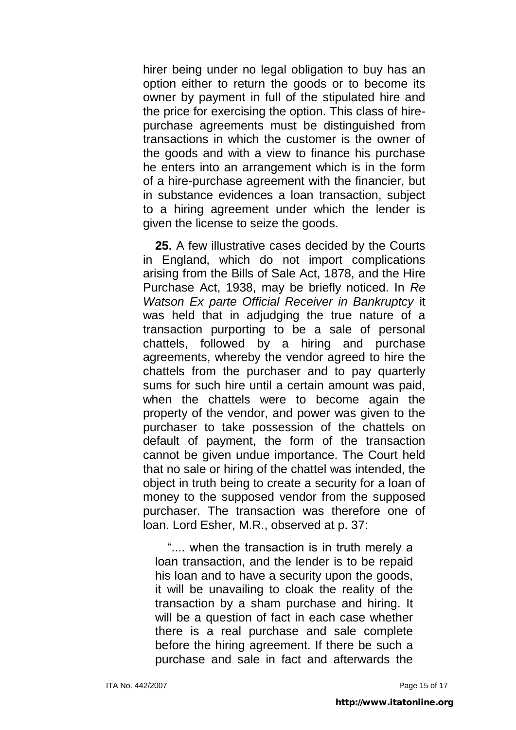hirer being under no legal obligation to buy has an option either to return the goods or to become its owner by payment in full of the stipulated hire and the price for exercising the option. This class of hirepurchase agreements must be distinguished from transactions in which the customer is the owner of the goods and with a view to finance his purchase he enters into an arrangement which is in the form of a hire-purchase agreement with the financier, but in substance evidences a loan transaction, subject to a hiring agreement under which the lender is given the license to seize the goods.

**25.** A few illustrative cases decided by the Courts in England, which do not import complications arising from the Bills of Sale Act, 1878, and the Hire Purchase Act, 1938, may be briefly noticed. In *Re Watson Ex parte Official Receiver in Bankruptcy* it was held that in adjudging the true nature of a transaction purporting to be a sale of personal chattels, followed by a hiring and purchase agreements, whereby the vendor agreed to hire the chattels from the purchaser and to pay quarterly sums for such hire until a certain amount was paid, when the chattels were to become again the property of the vendor, and power was given to the purchaser to take possession of the chattels on default of payment, the form of the transaction cannot be given undue importance. The Court held that no sale or hiring of the chattel was intended, the object in truth being to create a security for a loan of money to the supposed vendor from the supposed purchaser. The transaction was therefore one of loan. Lord Esher, M.R., observed at p. 37:

".... when the transaction is in truth merely a loan transaction, and the lender is to be repaid his loan and to have a security upon the goods, it will be unavailing to cloak the reality of the transaction by a sham purchase and hiring. It will be a question of fact in each case whether there is a real purchase and sale complete before the hiring agreement. If there be such a purchase and sale in fact and afterwards the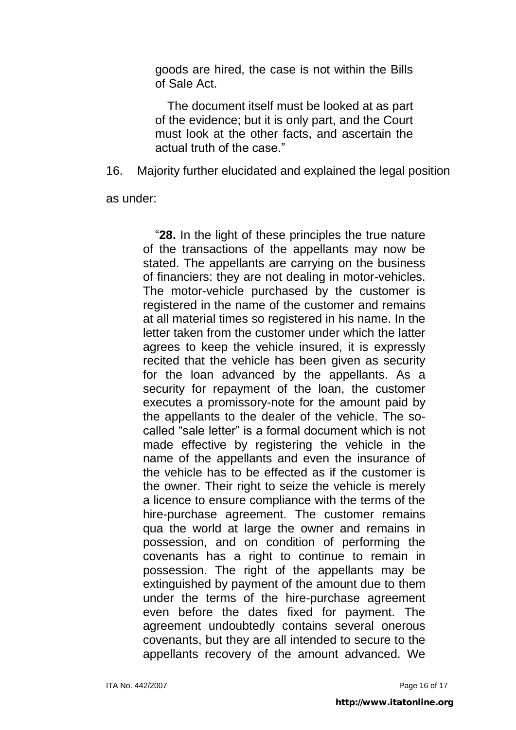goods are hired, the case is not within the Bills of Sale Act.

The document itself must be looked at as part of the evidence; but it is only part, and the Court must look at the other facts, and ascertain the actual truth of the case."

16. Majority further elucidated and explained the legal position

as under:

"**28.** In the light of these principles the true nature of the transactions of the appellants may now be stated. The appellants are carrying on the business of financiers: they are not dealing in motor-vehicles. The motor-vehicle purchased by the customer is registered in the name of the customer and remains at all material times so registered in his name. In the letter taken from the customer under which the latter agrees to keep the vehicle insured, it is expressly recited that the vehicle has been given as security for the loan advanced by the appellants. As a security for repayment of the loan, the customer executes a promissory-note for the amount paid by the appellants to the dealer of the vehicle. The socalled "sale letter" is a formal document which is not made effective by registering the vehicle in the name of the appellants and even the insurance of the vehicle has to be effected as if the customer is the owner. Their right to seize the vehicle is merely a licence to ensure compliance with the terms of the hire-purchase agreement. The customer remains qua the world at large the owner and remains in possession, and on condition of performing the covenants has a right to continue to remain in possession. The right of the appellants may be extinguished by payment of the amount due to them under the terms of the hire-purchase agreement even before the dates fixed for payment. The agreement undoubtedly contains several onerous covenants, but they are all intended to secure to the appellants recovery of the amount advanced. We